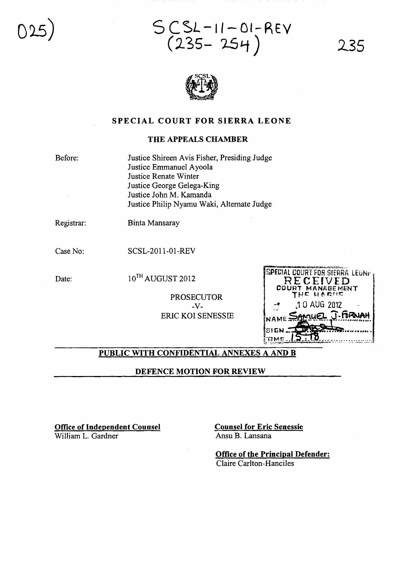025)

 $SCSL - 11 - OI-REV$ (235- 254)

235



## SPECIAL COURT FOR SIERRA LEONE

#### THE APPEALS CHAMBER

Before:

Justice Shireen Avis Fisher, Presiding Judge Justice Emmanuel Ayoola Justice Renate Winter Justice George Gelega-King Justice John M. Kamanda Justice Philip Nyamu Waki, Alternate Judge

Registrar:

Binta Mansaray

Case No: SCSL-2011-01-REV

Date: 10<sup>TH</sup> AUGUST 2012

PROSECUTOR -V-ERIC KOI SENESSIE

| SPECIAL COURT FOR SIERRA LEGNES |
|---------------------------------|
| RECEIVED                        |
| <b>COURT MANAGEMENT</b>         |
| THE HARNE                       |
|                                 |
| 10 AUG 2012                     |
|                                 |
| NAME SAMUEL J. FORNAH           |
|                                 |
| SIGN JA                         |
|                                 |
| <b>EME</b>                      |

## PUBLIC WITH CONFIDENTIAL ANNEXES A AND B

DEFENCE MOTION FOR REVIEW

Office of Independent Counsel William L. Gardner

Counsel for Eric Senessie Ansu B. Lansana

Office of the Principal Defender: Claire Carlton-Hanciles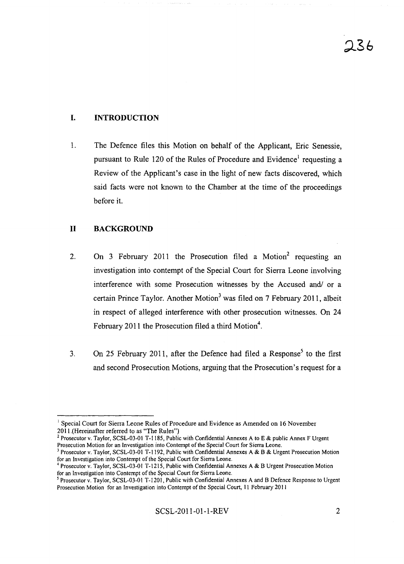# **I. INTRODUCTION**

1. The Defence files this Motion on behalf of the Applicant, Eric Senessie, pursuant to Rule 120 of the Rules of Procedure and Evidence' requesting a Review of the Applicant's case in the light of new facts discovered, which said facts were not known to the Chamber at the time of the proceedings before it.

### **11 BACKGROUND**

- 2. On 3 February 2011 the Prosecution filed a Motion<sup>2</sup> requesting an investigation into contempt of the Special Court for Sierra Leone involving interference with some Prosecution witnesses by the Accused and/ or a certain Prince Taylor, Another Motion' was filed on 7 February 2011, albeit in respect of alleged interference with other prosecution witnesses. On 24 February 2011 the Prosecution filed a third Motion<sup>4</sup>.
- 3. On 25 February 2011, after the Defence had filed a Response<sup>5</sup> to the first and second Prosecution Motions, arguing that the Prosecution's request for a

<sup>&</sup>lt;sup>1</sup> Special Court for Sierra Leone Rules of Procedure and Evidence as Amended on 16 November 2011.(Hereinafter referred to as "The Rules")

<sup>2</sup> Prosecutor v. Taylor, SCSL-03-01 T-1185, Public with Confidential Annexes A to E & public Annex F Urgent Prosecution Motion for an Investigation into Contempt of the Special Court for Sierra Leone.

<sup>&</sup>lt;sup>3</sup> Prosecutor v. Taylor, SCSL-03-01 T-1192, Public with Confidential Annexes A & B & Urgent Prosecution Motion for an Investigation into Contempt of the Special Court for Sierra Leone.

<sup>&</sup>lt;sup>4</sup> Prosecutor v. Taylor, SCSL-03-01 T-1215, Public with Confidential Annexes A & B Urgent Prosecution Motion for an Investigation into Contempt of the Special Court for Sierra Leone.

<sup>&</sup>lt;sup>5</sup> Prosecutor v. Taylor, SCSL-03-01 T-1201, Public with Confidential Annexes A and B Defence Response to Urgent Prosecution Motion for an Investigation into Contempt of the Special Court, 11 February 2011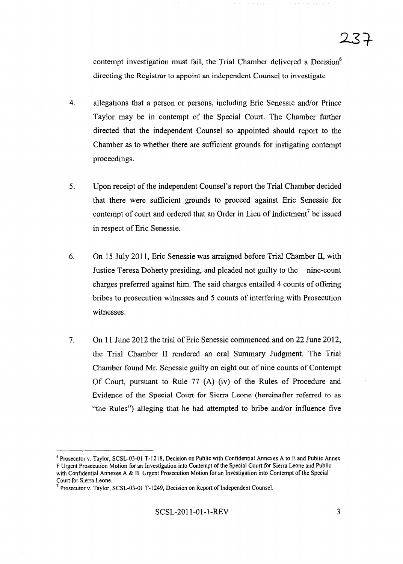contempt investigation must fail, the Trial Chamber delivered a Decision<sup>6</sup> directing the Registrar to appoint an independent Counsel to investigate

- 4. allegations that a person or persons, including Eric Senessie and/or Prince Taylor may be in contempt of the Special Court. The Chamber further directed that the independent Counsel so appointed should report to the Chamber as to whether there are sufficient grounds for instigating contempt proceedings.
- 5. Upon receipt of the independent Counsel's report the Trial Chamber decided that there were sufficient grounds to proceed against Eric Senessie for contempt of court and ordered that an Order in Lieu of Indictment<sup>7</sup> be issued in respect of Eric Senessie.
- 6. On 15 July 2011, Eric Senessie was arraigned before Trial Chamber II, with Justice Teresa Doherty presiding, and pleaded not guilty to the nine-count charges preferred against him. The said charges entailed 4 counts of offering bribes to prosecution witnesses and 5 counts of interfering with Prosecution witnesses.
- 7. On **11** June 2012 the trial ofEric Senessie commenced and on 22 June 2012, the Trial Chamber II rendered an oral Summary Judgment. The Trial Chamber found Mr. Senessie guilty on eight out of nine counts of Contempt Of Court, pursuant to Rule 77 (A) (iv) of the Rules of Procedure and Evidence of the Special Court for Sierra Leone (hereinafter referred to as "the Rules") alleging that he had attempted to bribe and/or influence five

<sup>&</sup>lt;sup>6</sup> Prosecutor v. Taylor, SCSL-03-01 T-1218, Decision on Public with Confidential Annexes A to E and Public Annex F Urgent Prosecution Motion for an Investigation into Contempt of the Special Court for Sierra Leone and Public with Confidential Annexes A & B Urgent Prosecution Motion for an Investigation into Contempt of the Special Court for Sierra Leone.

 $<sup>7</sup>$  Prosecutor v. Taylor, SCSL-03-01 T-1249, Decision on Report of Independent Counsel.</sup>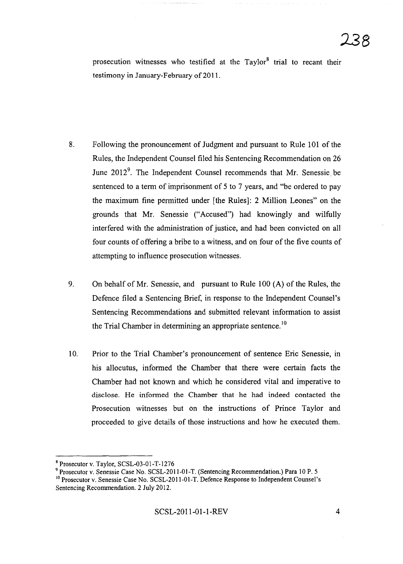prosecution witnesses who testified at the Taylor<sup>8</sup> trial to recant their testimony in January-February of 2011.

- 8. Following the pronouncement of Judgment and pursuant to Rule 101 of the Rules, the Independent Counsel filed his Sentencing Recommendation on 26 June 2012<sup>9</sup>. The Independent Counsel recommends that Mr. Senessie be sentenced to a term of imprisonment of 5 to 7 years, and "be ordered to pay the maximum fine permitted under [the Rules]: 2 Million Leones" on the grounds that Mr. Senessie ("Accused") had knowingly and wilfully interfered with the administration of justice, and had been convicted on all four counts of offering a bribe to a witness, and on four of the five counts of attempting to influence prosecution witnesses.
- 9. On behalf of Mr. Senessie, and pursuant to Rule 100 (A) of the Rules, the Defence filed a Sentencing Brief, in response to the Independent Counsel's Sentencing Recommendations and submitted relevant information to assist the Trial Chamber in determining an appropriate sentence.<sup>10</sup>
- 10. Prior to the Trial Chamber's pronouncement of sentence Eric Senessie, in his allocutus, informed the Chamber that there were certain facts the Chamber had not known and which he considered vital and imperative to disclose. He informed the Chamber that he had indeed contacted the Prosecution witnesses but on the instructions of Prince Taylor and proceeded to give details of those instructions and how he executed them.

<sup>8</sup> Prosecutor v. Taylor, SCSL-03-0l-T-1276

<sup>9</sup> Prosecutor v. Senessie Case No. SCSL-20ll-0l-T. (Sentencing Recommendation.) Para 10 P. 5 <sup>10</sup> Prosecutor v. Senessie Case No. SCSL-2011-01-T. Defence Response to Independent Counsel's

Sentencing Recommendation. 2 July 2012.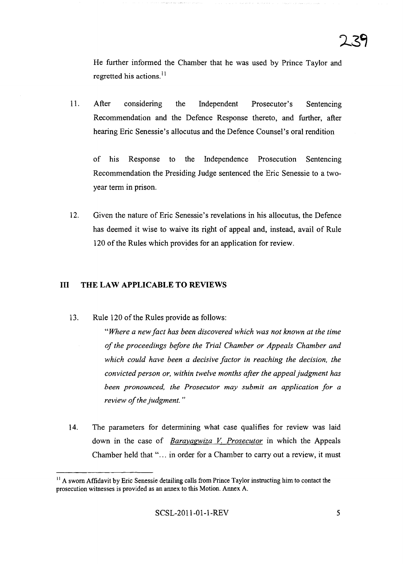He further informed the Chamber that he was used by Prince Taylor and regretted his actions.<sup>11</sup>

11. After considering the Independent Prosecutor's Sentencing Recommendation and the Defence Response thereto, and further, after hearing Eric Senessie's allocutus and the Defence Counsel's oral rendition

of his Response to the Independence Prosecution Sentencing Recommendation the Presiding Judge sentenced the Eric Senessie to a twoyear term in prison.

12. Given the nature of Eric Senessie's revelations in his allocutus, the Defence has deemed it wise to waive its right of appeal and, instead, avail of Rule 120 of the Rules which provides for an application for review.

### **III THE LAW APPLICABLE TO REVIEWS**

13. Rule 120 of the Rules provide as follows:

*"Where a new fact has been discovered which was not known at the time ofthe proceedings before the Trial Chamber or Appeals Chamber and which could have been a decisive factor in reaching the decision, the convicted person or, within twelve months after the appealjudgment has been pronounced, the Prosecutor may submit an application for a review of the judgment.*"

14. The parameters for determining what case qualifies for review was laid down in the case of *Barayagwiza* V. *Prosecutor* in which the Appeals Chamber held that "... in order for a Chamber to carry out a review, it must

 $11$  A sworn Affidavit by Eric Senessie detailing calls from Prince Taylor instructing him to contact the prosecution witnesses is provided as an annex to this Motion. Annex A.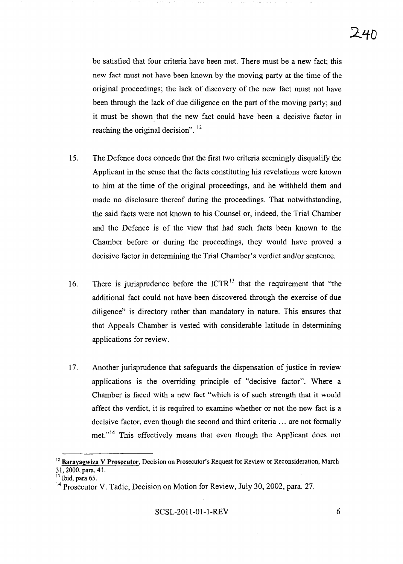be satisfied that four criteria have been met. There must be a new fact; this new fact must not have been known by the moving party at the time of the original proceedings; the lack of discovery of the new fact must not have been through the lack of due diligence on the part of the moving party; and it must be shown that the new fact could have been a decisive factor in reaching the original decision".<sup>12</sup>

- 15. The Defence does concede that the first two criteria seemingly disqualify the Applicant in the sense that the facts constituting his revelations were known to him at the time of the original proceedings, and he withheld them and made no disclosure thereof during the proceedings. That notwithstanding, the said facts were not known to his Counsel or, indeed, the Trial Chamber and the Defence is of the view that had such facts been known to the Chamber before or during the proceedings, they would have proved a decisive factor in determining the Trial Chamber's verdict and/or sentence.
- 16. There is jurisprudence before the  $ICTR<sup>13</sup>$  that the requirement that "the additional fact could not have been discovered through the exercise of due diligence" is directory rather than mandatory in nature. This ensures that that Appeals Chamber is vested with considerable latitude in determining applications for review.
- 17. Another jurisprudence that safeguards the dispensation of justice in review applications is the overriding principle of "decisive factor". Where a Chamber is faced with a new fact "which is of such strength that it would affect the verdict, it is required to examine whether or not the new fact is a decisive factor, even though the second and third criteria ... are not formally met."<sup>14</sup> This effectively means that even though the Applicant does not

SCSL-2011-01-1-REV 6

<sup>&</sup>lt;sup>12</sup> Barayagwiza V Prosecutor, Decision on Prosecutor's Request for Review or Reconsideration, March 31,2000, para. 41.

 $^{13}$  Ibid, para 65.

<sup>&</sup>lt;sup>14</sup> Prosecutor V. Tadic, Decision on Motion for Review, July 30, 2002, para. 27.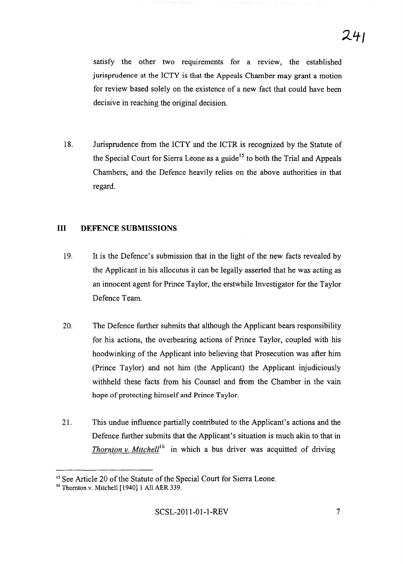satisfy the other two requirements for a review, the established jurisprudence at the ICTY is that the Appeals Chamber may grant a motion for review based solely on the existence of a new fact that could have been decisive in reaching the original decision.

18. Jurisprudence from the ICTY and the ICTR is recognized by the Statute of the Special Court for Sierra Leone as a guide<sup>15</sup> to both the Trial and Appeals Chambers, and the Defence heavily relies on the above authorities in that regard.

### **III DEFENCE SUBMISSIONS**

- 19. It is the Defence's submission that in the light of the new facts revealed by the Applicant in his allocutus it can be legally asserted that he was acting as an innocent agent for Prince Taylor, the erstwhile Investigator for the Taylor Defence Team.
- 20. The Defence further submits that although the Applicant bears responsibility for his actions, the overbearing actions of Prince Taylor, coupled with his hoodwinking of the Applicant into believing that Prosecution was after him (Prince Taylor) and not him (the Applicant) the Applicant injudiciously withheld these facts from his Counsel and from the Chamber in the vain hope of protecting himself and Prince Taylor.
- 21. This undue influence partially contributed to the Applicant's actions and the Defence further submits that the Applicant's situation is much akin to that in *Thornton v. Mitchell*<sup>16</sup> in which a bus driver was acquitted of driving

<sup>&</sup>lt;sup>15</sup> See Article 20 of the Statute of the Special Court for Sierra Leone.

<sup>16</sup> Thomton v. Mitchell [1940] 1 All AER 339.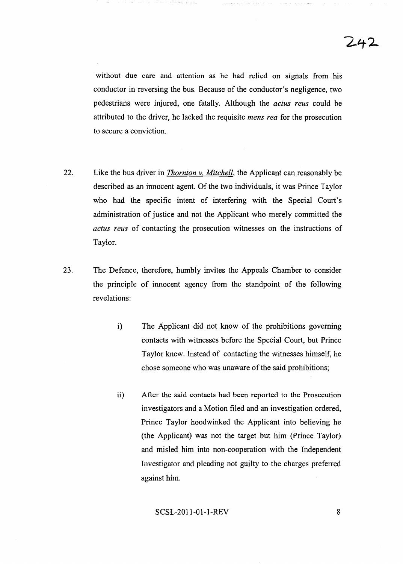without due care and attention as he had relied on signals from his conductor in reversing the bus. Because of the conductor's negligence, two pedestrians were injured, one fatally. Although the *actus reus* could be attributed to the driver, he lacked the requisite *mens rea* for the prosecution to secure a conviction.

- 22. Like the bus driver in *Thornton* v. *Mitchell,* the Applicant can reasonably be described as an innocent agent. Of the two individuals, it was Prince Taylor who had the specific intent of interfering with the Special Court's administration of justice and not the Applicant who merely committed the *actus reus* of contacting the prosecution witnesses on the instructions of Taylor.
- 23. The Defence, therefore, humbly invites the Appeals Chamber to consider the principle of innocent agency from the standpoint of the following revelations:
	- i) The Applicant did not know of the prohibitions governing contacts with witnesses before the Special Court, but Prince Taylor knew. Instead of contacting the witnesses himself, he chose someone who was unaware of the said prohibitions;
	- ii) After the said contacts had been reported to the Prosecution investigators and a Motion filed and an investigation ordered, Prince Taylor hoodwinked the Applicant into believing he (the Applicant) was not the target but him (Prince Taylor) and misled him into non-cooperation with the Independent Investigator and pleading not guilty to the charges preferred against him.

### SCSL-2011-01-1-REV 8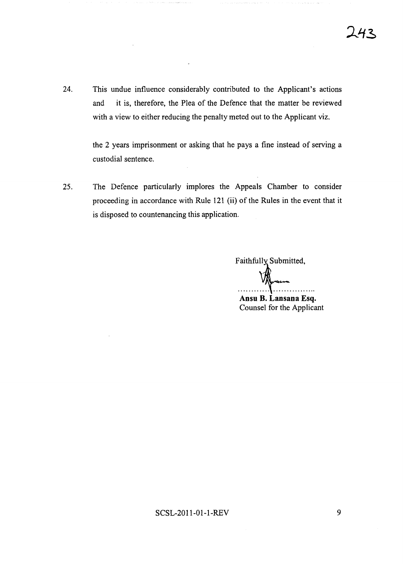24. This undue influence considerably contributed to the Applicant's actions and it is, therefore, the Plea of the Defence that the matter be reviewed with a view to either reducing the penalty meted out to the Applicant viz.

> the 2 years imprisonment or asking that he pays a fine instead of serving a custodial sentence.

25. The Defence particularly implores the Appeals Chamber to consider proceeding in accordance with Rule 121 (ii) of the Rules in the event that it is disposed to countenancing this application.

Faithfully Submitted,  $\mathcal{H}$ **Ansu B. Lansana Esq.** Counsel for the Applicant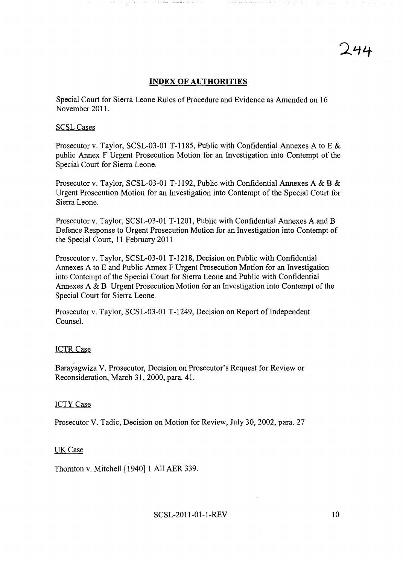## **INDEX OF AUTHORITIES**

Special Court for Sierra Leone Rules of Procedure and Evidence as Amended on 16 November 2011.

#### SCSLCases

Prosecutor v. Taylor, SCSL-03-01 T-1185, Public with Confidential Annexes A to E & public Annex F Urgent Prosecution Motion for an Investigation into Contempt of the Special Court for Sierra Leone.

Prosecutor v. Taylor, SCSL-03-01 T-1192, Public with Confidential Annexes A & B & Urgent Prosecution Motion for an Investigation into Contempt of the Special Court for Sierra Leone.

Prosecutor v. Taylor, SCSL-03-01 T-1201, Public with Confidential Annexes A and B Defence Response to Urgent Prosecution Motion for an Investigation into Contempt of the Special Court, 11 February 2011

Prosecutor v. Taylor, SCSL-03-01 T-1218, Decision on Public with Confidential Annexes A to E and Public Annex F Urgent Prosecution Motion for an Investigation into Contempt of the Special Court for Sierra Leone and Public with Confidential Annexes A & B Urgent Prosecution Motion for an Investigation into Contempt of the Special Court for Sierra Leone.

Prosecutor v. Taylor, SCSL-03-01 T-1249, Decision on Report of Independent Counsel.

### ICTR Case

Barayagwiza V. Prosecutor, Decision on Prosecutor's Request for Review or Reconsideration, March 31,2000, para. 41.

#### ICTY Case

Prosecutor V. Tadic, Decision on Motion for Review, July 30,2002, para. 27

#### UK<sub>Case</sub>

Thomton v. Mitchell [1940] 1 All AER 339.

244